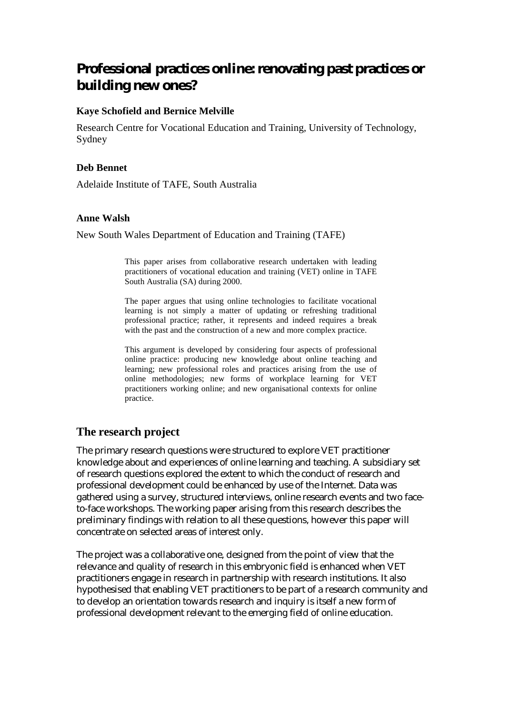# **Professional practices online: renovating past practices or building new ones?**

## **Kaye Schofield and Bernice Melville**

Research Centre for Vocational Education and Training, University of Technology, Sydney

#### **Deb Bennet**

Adelaide Institute of TAFE, South Australia

#### **Anne Walsh**

New South Wales Department of Education and Training (TAFE)

This paper arises from collaborative research undertaken with leading practitioners of vocational education and training (VET) online in TAFE South Australia (SA) during 2000.

The paper argues that using online technologies to facilitate vocational learning is not simply a matter of updating or refreshing traditional professional practice; rather, it represents and indeed requires a break with the past and the construction of a new and more complex practice.

This argument is developed by considering four aspects of professional online practice: producing new knowledge about online teaching and learning; new professional roles and practices arising from the use of online methodologies; new forms of workplace learning for VET practitioners working online; and new organisational contexts for online practice.

# **The research project**

The primary research questions were structured to explore VET practitioner knowledge about and experiences of online learning and teaching. A subsidiary set of research questions explored the extent to which the conduct of research and professional development could be enhanced by use of the Internet. Data was gathered using a survey, structured interviews, online research events and two faceto-face workshops. The working paper arising from this research describes the preliminary findings with relation to all these questions, however this paper will concentrate on selected areas of interest only.

The project was a collaborative one, designed from the point of view that the relevance and quality of research in this embryonic field is enhanced when VET practitioners engage in research in partnership with research institutions. It also hypothesised that enabling VET practitioners to be part of a research community and to develop an orientation towards research and inquiry is itself a new form of professional development relevant to the emerging field of online education.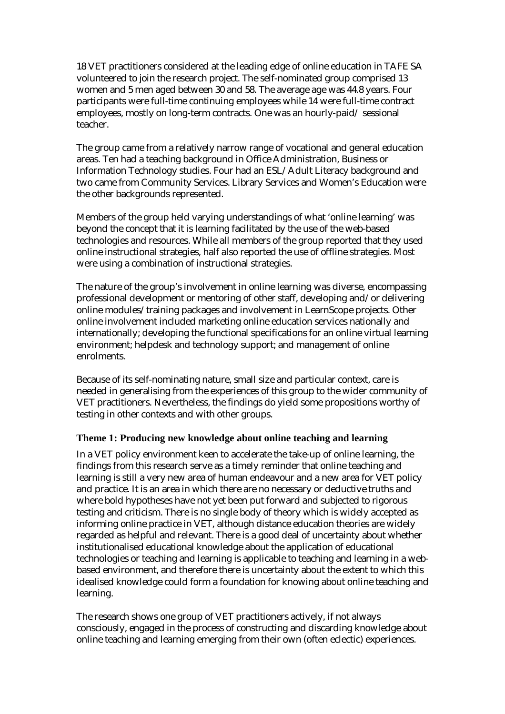18 VET practitioners considered at the leading edge of online education in TAFE SA volunteered to join the research project. The self-nominated group comprised 13 women and 5 men aged between 30 and 58. The average age was 44.8 years. Four participants were full-time continuing employees while 14 were full-time contract employees, mostly on long-term contracts. One was an hourly-paid/ sessional teacher.

The group came from a relatively narrow range of vocational and general education areas. Ten had a teaching background in Office Administration, Business or Information Technology studies. Four had an ESL/Adult Literacy background and two came from Community Services. Library Services and Women's Education were the other backgrounds represented.

Members of the group held varying understandings of what 'online learning' was beyond the concept that it is learning facilitated by the use of the web-based technologies and resources. While all members of the group reported that they used online instructional strategies, half also reported the use of offline strategies. Most were using a combination of instructional strategies.

The nature of the group's involvement in online learning was diverse, encompassing professional development or mentoring of other staff, developing and/or delivering online modules/training packages and involvement in LearnScope projects. Other online involvement included marketing online education services nationally and internationally; developing the functional specifications for an online virtual learning environment; helpdesk and technology support; and management of online enrolments.

Because of its self-nominating nature, small size and particular context, care is needed in generalising from the experiences of this group to the wider community of VET practitioners. Nevertheless, the findings do yield some propositions worthy of testing in other contexts and with other groups.

## **Theme 1: Producing new knowledge about online teaching and learning**

In a VET policy environment keen to accelerate the take-up of online learning, the findings from this research serve as a timely reminder that online teaching and learning is still a very new area of human endeavour and a new area for VET policy and practice. It is an area in which there are no necessary or deductive truths and where bold hypotheses have not yet been put forward and subjected to rigorous testing and criticism. There is no single body of theory which is widely accepted as informing online practice in VET, although distance education theories are widely regarded as helpful and relevant. There is a good deal of uncertainty about whether institutionalised educational knowledge about the application of educational technologies or teaching and learning is applicable to teaching and learning in a webbased environment, and therefore there is uncertainty about the extent to which this idealised knowledge could form a foundation for knowing about online teaching and learning.

The research shows one group of VET practitioners actively, if not always consciously, engaged in the process of constructing and discarding knowledge about online teaching and learning emerging from their own (often eclectic) experiences.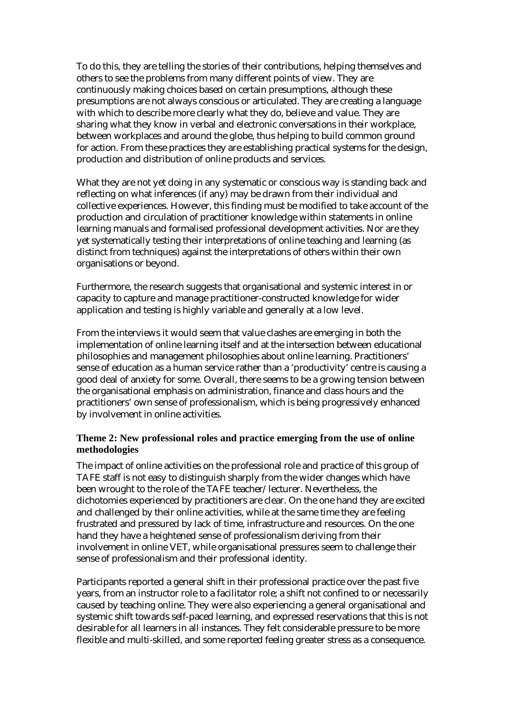To do this, they are telling the stories of their contributions, helping themselves and others to see the problems from many different points of view. They are continuously making choices based on certain presumptions, although these presumptions are not always conscious or articulated. They are creating a language with which to describe more clearly what they do, believe and value. They are sharing what they know in verbal and electronic conversations in their workplace, between workplaces and around the globe, thus helping to build common ground for action. From these practices they are establishing practical systems for the design, production and distribution of online products and services.

What they are not yet doing in any systematic or conscious way is standing back and reflecting on what inferences (if any) may be drawn from their individual and collective experiences. However, this finding must be modified to take account of the production and circulation of practitioner knowledge within statements in online learning manuals and formalised professional development activities. Nor are they yet systematically testing their interpretations of online teaching and learning (as distinct from techniques) against the interpretations of others within their own organisations or beyond.

Furthermore, the research suggests that organisational and systemic interest in or capacity to capture and manage practitioner-constructed knowledge for wider application and testing is highly variable and generally at a low level.

From the interviews it would seem that value clashes are emerging in both the implementation of online learning itself and at the intersection between educational philosophies and management philosophies about online learning. Practitioners' sense of education as a human service rather than a 'productivity' centre is causing a good deal of anxiety for some. Overall, there seems to be a growing tension between the organisational emphasis on administration, finance and class hours and the practitioners' own sense of professionalism, which is being progressively enhanced by involvement in online activities.

#### **Theme 2: New professional roles and practice emerging from the use of online methodologies**

The impact of online activities on the professional role and practice of this group of TAFE staff is not easy to distinguish sharply from the wider changes which have been wrought to the role of the TAFE teacher/lecturer. Nevertheless, the dichotomies experienced by practitioners are clear. On the one hand they are excited and challenged by their online activities, while at the same time they are feeling frustrated and pressured by lack of time, infrastructure and resources. On the one hand they have a heightened sense of professionalism deriving from their involvement in online VET, while organisational pressures seem to challenge their sense of professionalism and their professional identity.

Participants reported a general shift in their professional practice over the past five years, from an instructor role to a facilitator role; a shift not confined to or necessarily caused by teaching online. They were also experiencing a general organisational and systemic shift towards self-paced learning, and expressed reservations that this is not desirable for all learners in all instances. They felt considerable pressure to be more flexible and multi-skilled, and some reported feeling greater stress as a consequence.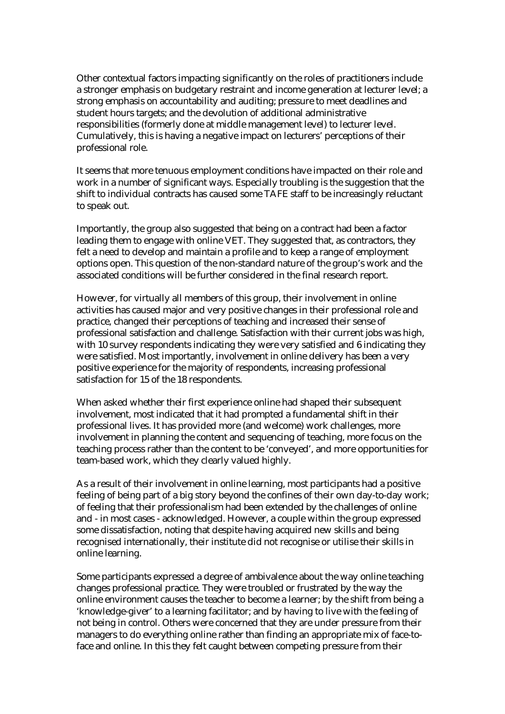Other contextual factors impacting significantly on the roles of practitioners include a stronger emphasis on budgetary restraint and income generation at lecturer level; a strong emphasis on accountability and auditing; pressure to meet deadlines and student hours targets; and the devolution of additional administrative responsibilities (formerly done at middle management level) to lecturer level. Cumulatively, this is having a negative impact on lecturers' perceptions of their professional role.

It seems that more tenuous employment conditions have impacted on their role and work in a number of significant ways. Especially troubling is the suggestion that the shift to individual contracts has caused some TAFE staff to be increasingly reluctant to speak out.

Importantly, the group also suggested that being on a contract had been a factor leading them to engage with online VET. They suggested that, as contractors, they felt a need to develop and maintain a profile and to keep a range of employment options open. This question of the non-standard nature of the group's work and the associated conditions will be further considered in the final research report.

However, for virtually all members of this group, their involvement in online activities has caused major and very positive changes in their professional role and practice, changed their perceptions of teaching and increased their sense of professional satisfaction and challenge. Satisfaction with their current jobs was high, with 10 survey respondents indicating they were very satisfied and 6 indicating they were satisfied. Most importantly, involvement in online delivery has been a very positive experience for the majority of respondents, increasing professional satisfaction for 15 of the 18 respondents.

When asked whether their first experience online had shaped their subsequent involvement, most indicated that it had prompted a fundamental shift in their professional lives. It has provided more (and welcome) work challenges, more involvement in planning the content and sequencing of teaching, more focus on the teaching process rather than the content to be 'conveyed', and more opportunities for team-based work, which they clearly valued highly.

As a result of their involvement in online learning, most participants had a positive feeling of being part of a big story beyond the confines of their own day-to-day work; of feeling that their professionalism had been extended by the challenges of online and - in most cases - acknowledged. However, a couple within the group expressed some dissatisfaction, noting that despite having acquired new skills and being recognised internationally, their institute did not recognise or utilise their skills in online learning.

Some participants expressed a degree of ambivalence about the way online teaching changes professional practice. They were troubled or frustrated by the way the online environment causes the teacher to become a learner; by the shift from being a 'knowledge-giver' to a learning facilitator; and by having to live with the feeling of not being in control. Others were concerned that they are under pressure from their managers to do everything online rather than finding an appropriate mix of face-toface and online. In this they felt caught between competing pressure from their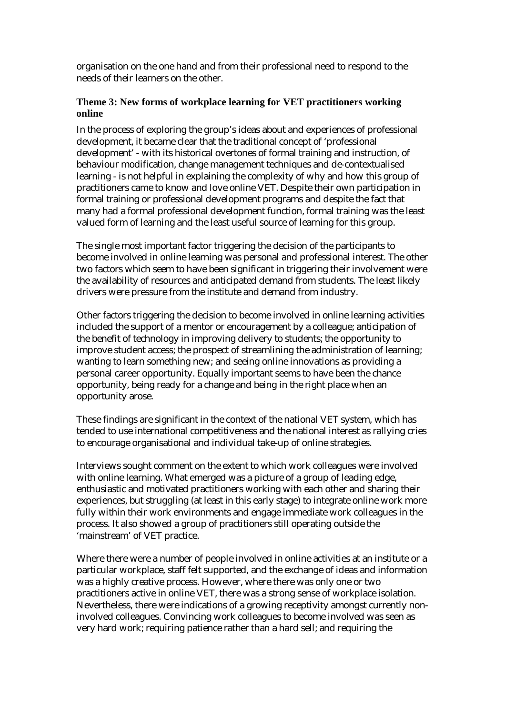organisation on the one hand and from their professional need to respond to the needs of their learners on the other.

## **Theme 3: New forms of workplace learning for VET practitioners working online**

In the process of exploring the group's ideas about and experiences of professional development, it became clear that the traditional concept of 'professional development' - with its historical overtones of formal training and instruction, of behaviour modification, change management techniques and de-contextualised learning - is not helpful in explaining the complexity of why and how this group of practitioners came to know and love online VET. Despite their own participation in formal training or professional development programs and despite the fact that many had a formal professional development function, formal training was the least valued form of learning and the least useful source of learning for this group.

The single most important factor triggering the decision of the participants to become involved in online learning was personal and professional interest. The other two factors which seem to have been significant in triggering their involvement were the availability of resources and anticipated demand from students. The least likely drivers were pressure from the institute and demand from industry.

Other factors triggering the decision to become involved in online learning activities included the support of a mentor or encouragement by a colleague; anticipation of the benefit of technology in improving delivery to students; the opportunity to improve student access; the prospect of streamlining the administration of learning; wanting to learn something new; and seeing online innovations as providing a personal career opportunity. Equally important seems to have been the chance opportunity, being ready for a change and being in the right place when an opportunity arose.

These findings are significant in the context of the national VET system, which has tended to use international competitiveness and the national interest as rallying cries to encourage organisational and individual take-up of online strategies.

Interviews sought comment on the extent to which work colleagues were involved with online learning. What emerged was a picture of a group of leading edge, enthusiastic and motivated practitioners working with each other and sharing their experiences, but struggling (at least in this early stage) to integrate online work more fully within their work environments and engage immediate work colleagues in the process. It also showed a group of practitioners still operating outside the 'mainstream' of VET practice.

Where there were a number of people involved in online activities at an institute or a particular workplace, staff felt supported, and the exchange of ideas and information was a highly creative process. However, where there was only one or two practitioners active in online VET, there was a strong sense of workplace isolation. Nevertheless, there were indications of a growing receptivity amongst currently noninvolved colleagues. Convincing work colleagues to become involved was seen as very hard work; requiring patience rather than a hard sell; and requiring the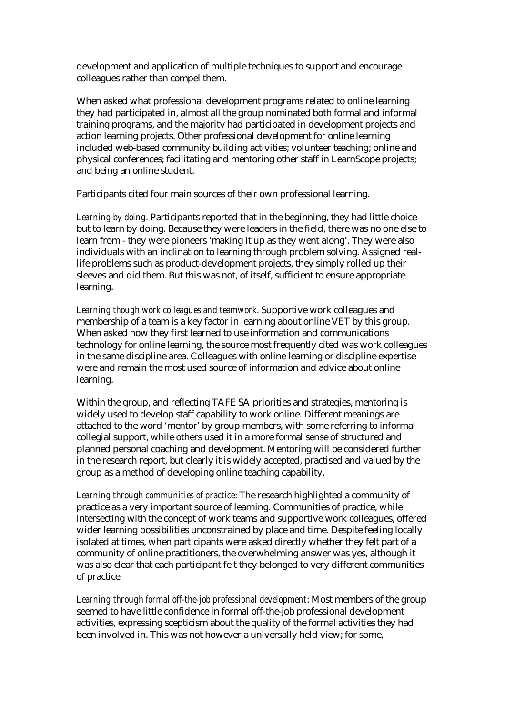development and application of multiple techniques to support and encourage colleagues rather than compel them.

When asked what professional development programs related to online learning they had participated in, almost all the group nominated both formal and informal training programs, and the majority had participated in development projects and action learning projects. Other professional development for online learning included web-based community building activities; volunteer teaching; online and physical conferences; facilitating and mentoring other staff in LearnScope projects; and being an online student.

Participants cited four main sources of their own professional learning.

*Learning by doing*. Participants reported that in the beginning, they had little choice but to learn by doing. Because they were leaders in the field, there was no one else to learn from - they were pioneers 'making it up as they went along'. They were also individuals with an inclination to learning through problem solving. Assigned reallife problems such as product-development projects, they simply rolled up their sleeves and did them. But this was not, of itself, sufficient to ensure appropriate learning.

*Learning though work colleagues and teamwork*. Supportive work colleagues and membership of a team is a key factor in learning about online VET by this group. When asked how they first learned to use information and communications technology for online learning, the source most frequently cited was work colleagues in the same discipline area. Colleagues with online learning or discipline expertise were and remain the most used source of information and advice about online learning.

Within the group, and reflecting TAFE SA priorities and strategies, mentoring is widely used to develop staff capability to work online. Different meanings are attached to the word 'mentor' by group members, with some referring to informal collegial support, while others used it in a more formal sense of structured and planned personal coaching and development. Mentoring will be considered further in the research report, but clearly it is widely accepted, practised and valued by the group as a method of developing online teaching capability.

*Learning through communities of practice*: The research highlighted a community of practice as a very important source of learning. Communities of practice, while intersecting with the concept of work teams and supportive work colleagues, offered wider learning possibilities unconstrained by place and time. Despite feeling locally isolated at times, when participants were asked directly whether they felt part of a community of online practitioners, the overwhelming answer was yes, although it was also clear that each participant felt they belonged to very different communities of practice.

*Learning through formal off-the-job professional development*: Most members of the group seemed to have little confidence in formal off-the-job professional development activities, expressing scepticism about the quality of the formal activities they had been involved in. This was not however a universally held view; for some,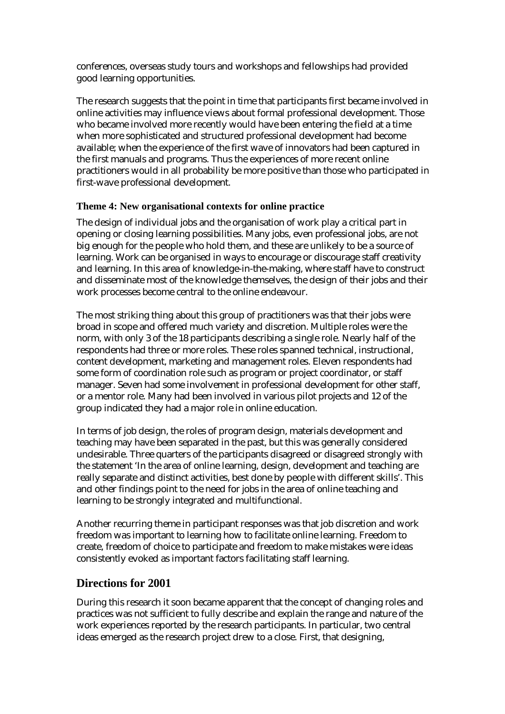conferences, overseas study tours and workshops and fellowships had provided good learning opportunities.

The research suggests that the point in time that participants first became involved in online activities may influence views about formal professional development. Those who became involved more recently would have been entering the field at a time when more sophisticated and structured professional development had become available; when the experience of the first wave of innovators had been captured in the first manuals and programs. Thus the experiences of more recent online practitioners would in all probability be more positive than those who participated in first-wave professional development.

## **Theme 4: New organisational contexts for online practice**

The design of individual jobs and the organisation of work play a critical part in opening or closing learning possibilities. Many jobs, even professional jobs, are not big enough for the people who hold them, and these are unlikely to be a source of learning. Work can be organised in ways to encourage or discourage staff creativity and learning. In this area of knowledge-in-the-making, where staff have to construct and disseminate most of the knowledge themselves, the design of their jobs and their work processes become central to the online endeavour.

The most striking thing about this group of practitioners was that their jobs were broad in scope and offered much variety and discretion. Multiple roles were the norm, with only 3 of the 18 participants describing a single role. Nearly half of the respondents had three or more roles. These roles spanned technical, instructional, content development, marketing and management roles. Eleven respondents had some form of coordination role such as program or project coordinator, or staff manager. Seven had some involvement in professional development for other staff, or a mentor role. Many had been involved in various pilot projects and 12 of the group indicated they had a major role in online education.

In terms of job design, the roles of program design, materials development and teaching may have been separated in the past, but this was generally considered undesirable. Three quarters of the participants disagreed or disagreed strongly with the statement 'In the area of online learning, design, development and teaching are really separate and distinct activities, best done by people with different skills'. This and other findings point to the need for jobs in the area of online teaching and learning to be strongly integrated and multifunctional.

Another recurring theme in participant responses was that job discretion and work freedom was important to learning how to facilitate online learning. Freedom to create, freedom of choice to participate and freedom to make mistakes were ideas consistently evoked as important factors facilitating staff learning.

# **Directions for 2001**

During this research it soon became apparent that the concept of changing roles and practices was not sufficient to fully describe and explain the range and nature of the work experiences reported by the research participants. In particular, two central ideas emerged as the research project drew to a close. First, that designing,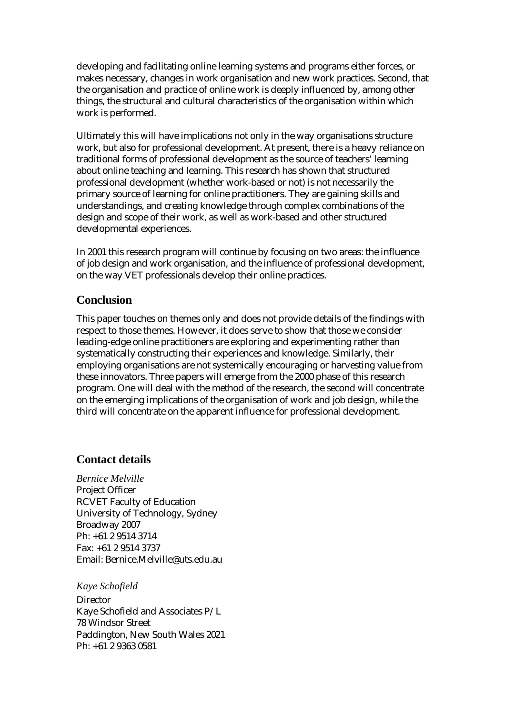developing and facilitating online learning systems and programs either forces, or makes necessary, changes in work organisation and new work practices. Second, that the organisation and practice of online work is deeply influenced by, among other things, the structural and cultural characteristics of the organisation within which work is performed.

Ultimately this will have implications not only in the way organisations structure work, but also for professional development. At present, there is a heavy reliance on traditional forms of professional development as the source of teachers' learning about online teaching and learning. This research has shown that structured professional development (whether work-based or not) is not necessarily the primary source of learning for online practitioners. They are gaining skills and understandings, and creating knowledge through complex combinations of the design and scope of their work, as well as work-based and other structured developmental experiences.

In 2001 this research program will continue by focusing on two areas: the influence of job design and work organisation, and the influence of professional development, on the way VET professionals develop their online practices.

## **Conclusion**

This paper touches on themes only and does not provide details of the findings with respect to those themes. However, it does serve to show that those we consider leading-edge online practitioners are exploring and experimenting rather than systematically constructing their experiences and knowledge. Similarly, their employing organisations are not systemically encouraging or harvesting value from these innovators. Three papers will emerge from the 2000 phase of this research program. One will deal with the method of the research, the second will concentrate on the emerging implications of the organisation of work and job design, while the third will concentrate on the apparent influence for professional development.

# **Contact details**

*Bernice Melville*  Project Officer RCVET Faculty of Education University of Technology, Sydney Broadway 2007 Ph: +61 2 9514 3714 Fax: +61 2 9514 3737 Email: Bernice.Melville@uts.edu.au

*Kaye Schofield*  **Director** Kaye Schofield and Associates P/L 78 Windsor Street Paddington, New South Wales 2021 Ph: +61 2 9363 0581